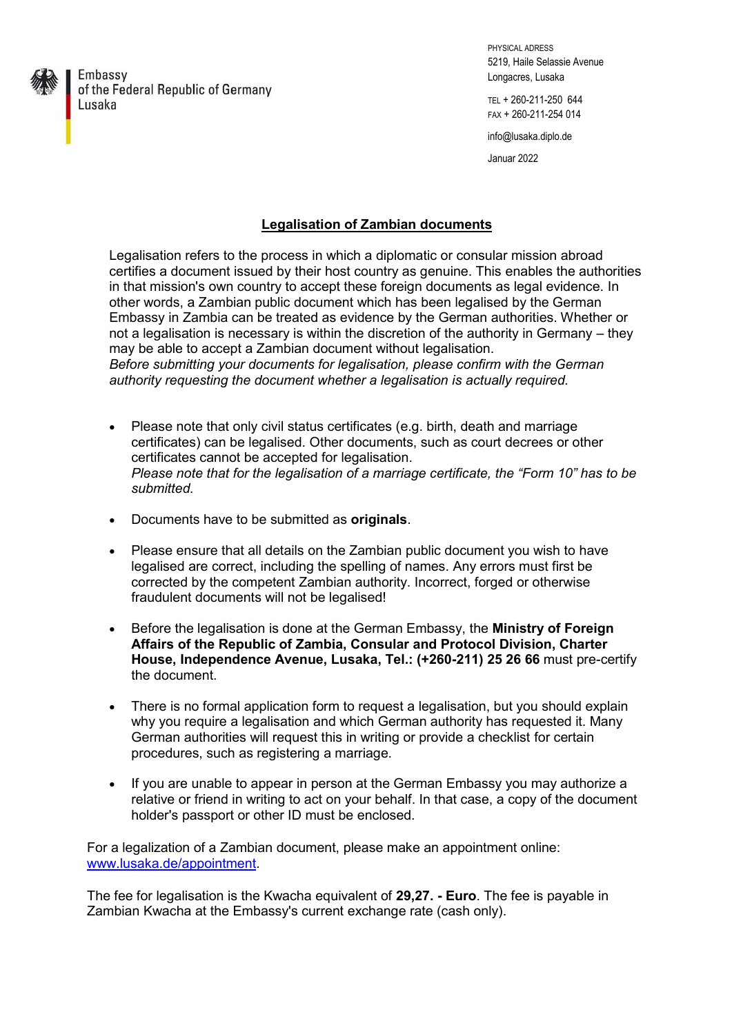

Embassy of the Federal Republic of Germany Lusaka

PHYSICAL ADRESS 5219, Haile Selassie Avenue Longacres, Lusaka

TEL + 260-211-250 644 FAX + 260-211-254 014

info@lusaka.diplo.de

Januar 2022

## **Legalisation of Zambian documents**

Legalisation refers to the process in which a diplomatic or consular mission abroad certifies a document issued by their host country as genuine. This enables the authorities in that mission's own country to accept these foreign documents as legal evidence. In other words, a Zambian public document which has been legalised by the German Embassy in Zambia can be treated as evidence by the German authorities. Whether or not a legalisation is necessary is within the discretion of the authority in Germany – they may be able to accept a Zambian document without legalisation. *Before submitting your documents for legalisation, please confirm with the German* 

*authority requesting the document whether a legalisation is actually required.* 

- Please note that only civil status certificates (e.g. birth, death and marriage certificates) can be legalised. Other documents, such as court decrees or other certificates cannot be accepted for legalisation. *Please note that for the legalisation of a marriage certificate, the "Form 10" has to be submitted.*
- Documents have to be submitted as **originals**.
- Please ensure that all details on the Zambian public document you wish to have legalised are correct, including the spelling of names. Any errors must first be corrected by the competent Zambian authority. Incorrect, forged or otherwise fraudulent documents will not be legalised!
- Before the legalisation is done at the German Embassy, the **Ministry of Foreign Affairs of the Republic of Zambia, Consular and Protocol Division, Charter House, Independence Avenue, Lusaka, Tel.: (+260-211) 25 26 66** must pre-certify the document.
- There is no formal application form to request a legalisation, but you should explain why you require a legalisation and which German authority has requested it. Many German authorities will request this in writing or provide a checklist for certain procedures, such as registering a marriage.
- If you are unable to appear in person at the German Embassy you may authorize a relative or friend in writing to act on your behalf. In that case, a copy of the document holder's passport or other ID must be enclosed.

For a legalization of a Zambian document, please make an appointment online: [www.lusaka.de/appointment.](http://www.lusaka.de/appointment)

The fee for legalisation is the Kwacha equivalent of **29,27. - Euro**. The fee is payable in Zambian Kwacha at the Embassy's current exchange rate (cash only).